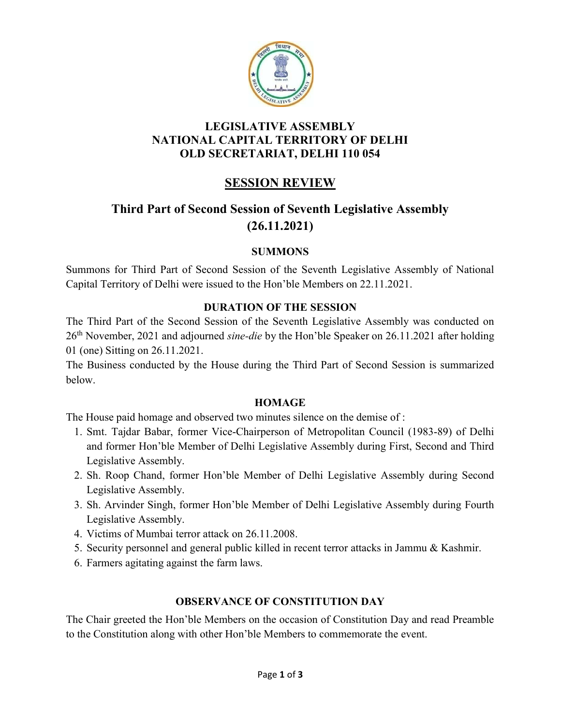

## LEGISLATIVE ASSEMBLY NATIONAL CAPITAL TERRITORY OF DELHI OLD SECRETARIAT, DELHI 110 054

## SESSION REVIEW

# Third Part of Second Session of Seventh Legislative Assembly (26.11.2021)

## **SUMMONS**

Summons for Third Part of Second Session of the Seventh Legislative Assembly of National Capital Territory of Delhi were issued to the Hon'ble Members on 22.11.2021.

## DURATION OF THE SESSION

The Third Part of the Second Session of the Seventh Legislative Assembly was conducted on 26<sup>th</sup> November, 2021 and adjourned sine-die by the Hon'ble Speaker on 26.11.2021 after holding 01 (one) Sitting on 26.11.2021.

The Business conducted by the House during the Third Part of Second Session is summarized below.

#### **HOMAGE**

The House paid homage and observed two minutes silence on the demise of :

- 1. Smt. Tajdar Babar, former Vice-Chairperson of Metropolitan Council (1983-89) of Delhi and former Hon'ble Member of Delhi Legislative Assembly during First, Second and Third Legislative Assembly.
- 2. Sh. Roop Chand, former Hon'ble Member of Delhi Legislative Assembly during Second Legislative Assembly.
- 3. Sh. Arvinder Singh, former Hon'ble Member of Delhi Legislative Assembly during Fourth Legislative Assembly.
- 4. Victims of Mumbai terror attack on 26.11.2008.
- 5. Security personnel and general public killed in recent terror attacks in Jammu & Kashmir.
- 6. Farmers agitating against the farm laws.

## OBSERVANCE OF CONSTITUTION DAY

The Chair greeted the Hon'ble Members on the occasion of Constitution Day and read Preamble to the Constitution along with other Hon'ble Members to commemorate the event.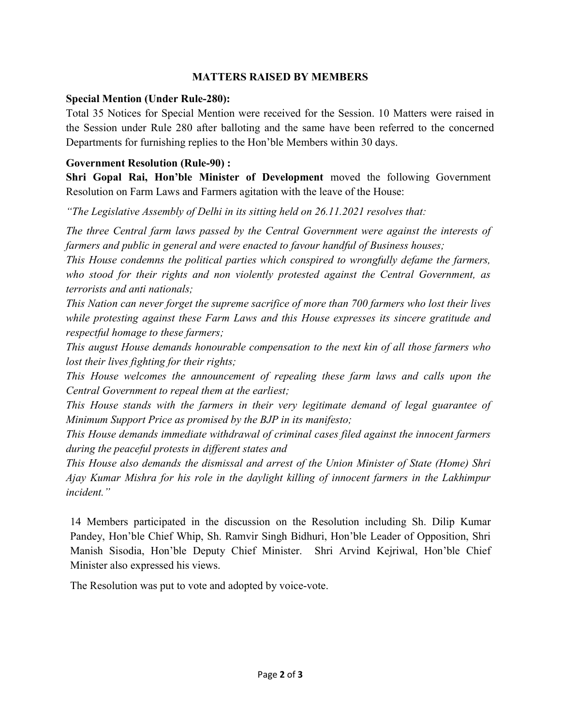#### MATTERS RAISED BY MEMBERS

#### Special Mention (Under Rule-280):

Total 35 Notices for Special Mention were received for the Session. 10 Matters were raised in the Session under Rule 280 after balloting and the same have been referred to the concerned Departments for furnishing replies to the Hon'ble Members within 30 days.

#### Government Resolution (Rule-90) :

Shri Gopal Rai, Hon'ble Minister of Development moved the following Government Resolution on Farm Laws and Farmers agitation with the leave of the House:

"The Legislative Assembly of Delhi in its sitting held on 26.11.2021 resolves that:

The three Central farm laws passed by the Central Government were against the interests of farmers and public in general and were enacted to favour handful of Business houses;

This House condemns the political parties which conspired to wrongfully defame the farmers, who stood for their rights and non violently protested against the Central Government, as terrorists and anti nationals;

This Nation can never forget the supreme sacrifice of more than 700 farmers who lost their lives while protesting against these Farm Laws and this House expresses its sincere gratitude and respectful homage to these farmers;

This august House demands honourable compensation to the next kin of all those farmers who lost their lives fighting for their rights;

This House welcomes the announcement of repealing these farm laws and calls upon the Central Government to repeal them at the earliest;

This House stands with the farmers in their very legitimate demand of legal guarantee of Minimum Support Price as promised by the BJP in its manifesto;

This House demands immediate withdrawal of criminal cases filed against the innocent farmers during the peaceful protests in different states and

This House also demands the dismissal and arrest of the Union Minister of State (Home) Shri Ajay Kumar Mishra for his role in the daylight killing of innocent farmers in the Lakhimpur incident."

14 Members participated in the discussion on the Resolution including Sh. Dilip Kumar Pandey, Hon'ble Chief Whip, Sh. Ramvir Singh Bidhuri, Hon'ble Leader of Opposition, Shri Manish Sisodia, Hon'ble Deputy Chief Minister. Shri Arvind Kejriwal, Hon'ble Chief Minister also expressed his views.

The Resolution was put to vote and adopted by voice-vote.